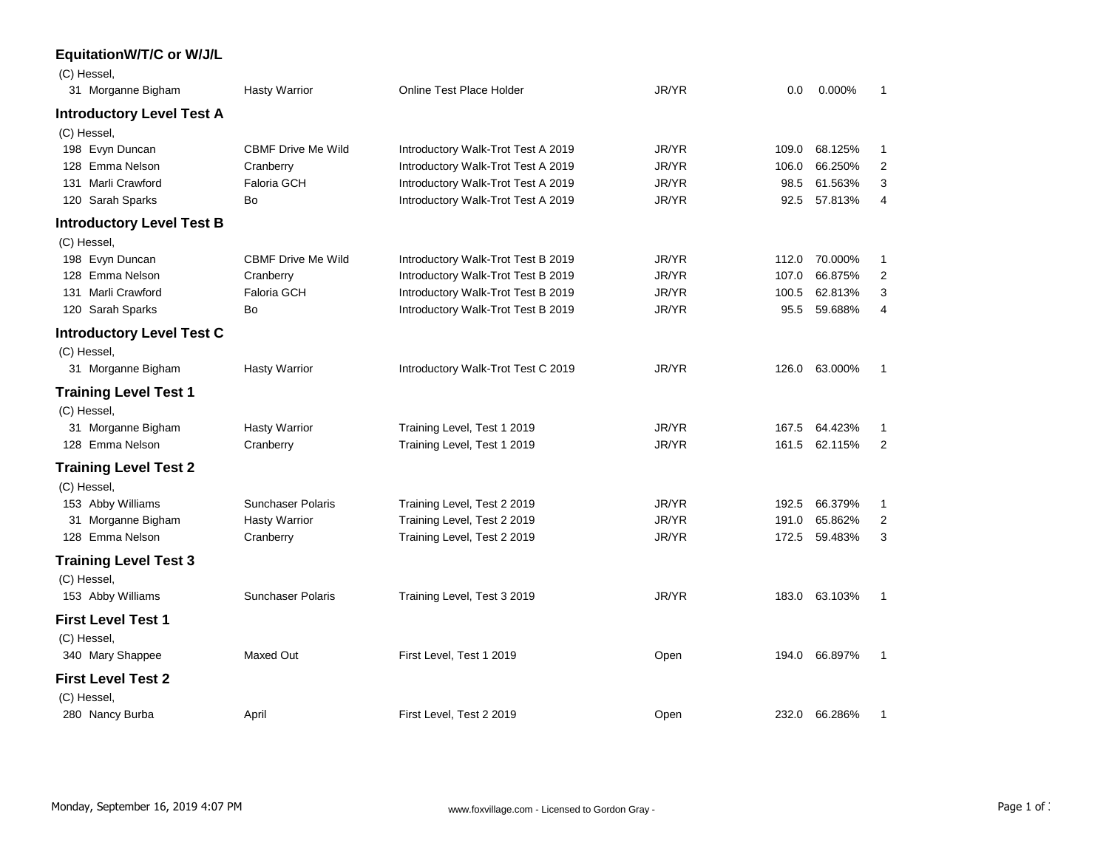## **EquitationW/T/C or W/J/L**

| (C) Hessel,                      |                           |                                    |       |       |               |                |
|----------------------------------|---------------------------|------------------------------------|-------|-------|---------------|----------------|
| 31 Morganne Bigham               | <b>Hasty Warrior</b>      | Online Test Place Holder           | JR/YR | 0.0   | 0.000%        | 1              |
| <b>Introductory Level Test A</b> |                           |                                    |       |       |               |                |
| (C) Hessel,                      |                           |                                    |       |       |               |                |
| 198 Evyn Duncan                  | <b>CBMF Drive Me Wild</b> | Introductory Walk-Trot Test A 2019 | JR/YR | 109.0 | 68.125%       | 1              |
| 128 Emma Nelson                  | Cranberry                 | Introductory Walk-Trot Test A 2019 | JR/YR | 106.0 | 66.250%       | $\overline{2}$ |
| 131 Marli Crawford               | Faloria GCH               | Introductory Walk-Trot Test A 2019 | JR/YR | 98.5  | 61.563%       | 3              |
| 120 Sarah Sparks                 | Bo                        | Introductory Walk-Trot Test A 2019 | JR/YR | 92.5  | 57.813%       | $\overline{4}$ |
| <b>Introductory Level Test B</b> |                           |                                    |       |       |               |                |
| (C) Hessel,                      |                           |                                    |       |       |               |                |
| 198 Evyn Duncan                  | <b>CBMF Drive Me Wild</b> | Introductory Walk-Trot Test B 2019 | JR/YR | 112.0 | 70.000%       | 1              |
| 128 Emma Nelson                  | Cranberry                 | Introductory Walk-Trot Test B 2019 | JR/YR | 107.0 | 66.875%       | $\overline{2}$ |
| 131 Marli Crawford               | <b>Faloria GCH</b>        | Introductory Walk-Trot Test B 2019 | JR/YR | 100.5 | 62.813%       | 3              |
| 120 Sarah Sparks                 | Bo                        | Introductory Walk-Trot Test B 2019 | JR/YR | 95.5  | 59.688%       | 4              |
| <b>Introductory Level Test C</b> |                           |                                    |       |       |               |                |
| (C) Hessel,                      |                           |                                    |       |       |               |                |
| 31 Morganne Bigham               | <b>Hasty Warrior</b>      | Introductory Walk-Trot Test C 2019 | JR/YR | 126.0 | 63.000%       | $\mathbf{1}$   |
| <b>Training Level Test 1</b>     |                           |                                    |       |       |               |                |
| (C) Hessel,                      |                           |                                    |       |       |               |                |
| 31 Morganne Bigham               | <b>Hasty Warrior</b>      | Training Level, Test 1 2019        | JR/YR | 167.5 | 64.423%       | 1              |
| 128 Emma Nelson                  | Cranberry                 | Training Level, Test 1 2019        | JR/YR | 161.5 | 62.115%       | $\overline{2}$ |
| <b>Training Level Test 2</b>     |                           |                                    |       |       |               |                |
| (C) Hessel,                      |                           |                                    |       |       |               |                |
| 153 Abby Williams                | <b>Sunchaser Polaris</b>  | Training Level, Test 2 2019        | JR/YR | 192.5 | 66.379%       | 1              |
| 31 Morganne Bigham               | <b>Hasty Warrior</b>      | Training Level, Test 2 2019        | JR/YR | 191.0 | 65.862%       | $\overline{2}$ |
| 128 Emma Nelson                  | Cranberry                 | Training Level, Test 2 2019        | JR/YR | 172.5 | 59.483%       | 3              |
| <b>Training Level Test 3</b>     |                           |                                    |       |       |               |                |
| (C) Hessel,                      |                           |                                    |       |       |               |                |
| 153 Abby Williams                | <b>Sunchaser Polaris</b>  | Training Level, Test 3 2019        | JR/YR |       | 183.0 63.103% | $\mathbf{1}$   |
| <b>First Level Test 1</b>        |                           |                                    |       |       |               |                |
| (C) Hessel,                      |                           |                                    |       |       |               |                |
| 340 Mary Shappee                 | Maxed Out                 | First Level, Test 1 2019           | Open  | 194.0 | 66.897%       | 1              |
| <b>First Level Test 2</b>        |                           |                                    |       |       |               |                |
| (C) Hessel,                      |                           |                                    |       |       |               |                |
| 280 Nancy Burba                  | April                     | First Level. Test 2 2019           | Open  |       | 232.0 66.286% | 1              |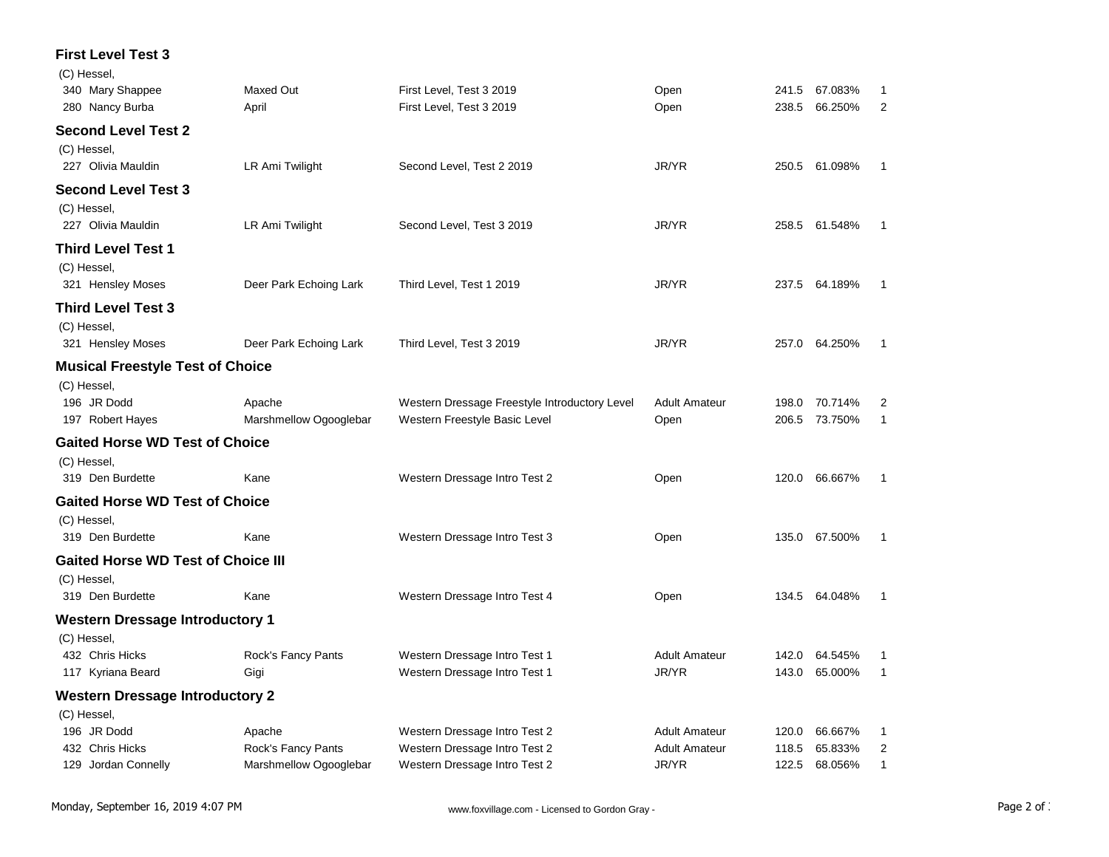## **First Level Test 3**  $\overline{C}$ ) Hessel

| (C) Hessel,                               |                        |                                               |                      |       |               |                |
|-------------------------------------------|------------------------|-----------------------------------------------|----------------------|-------|---------------|----------------|
| 340 Mary Shappee                          | <b>Maxed Out</b>       | First Level, Test 3 2019                      | Open                 | 241.5 | 67.083%       | -1             |
| 280 Nancy Burba                           | April                  | First Level, Test 3 2019                      | Open                 | 238.5 | 66.250%       | 2              |
| <b>Second Level Test 2</b>                |                        |                                               |                      |       |               |                |
| (C) Hessel,                               |                        |                                               |                      |       |               |                |
| 227 Olivia Mauldin                        | LR Ami Twilight        | Second Level, Test 2 2019                     | JR/YR                |       | 250.5 61.098% | $\mathbf 1$    |
| <b>Second Level Test 3</b>                |                        |                                               |                      |       |               |                |
| (C) Hessel,                               |                        |                                               |                      |       |               |                |
| 227 Olivia Mauldin                        | LR Ami Twilight        | Second Level, Test 3 2019                     | JR/YR                |       | 258.5 61.548% | -1             |
| <b>Third Level Test 1</b>                 |                        |                                               |                      |       |               |                |
| (C) Hessel,                               |                        |                                               |                      |       |               |                |
| 321 Hensley Moses                         | Deer Park Echoing Lark | Third Level, Test 1 2019                      | JR/YR                |       | 237.5 64.189% | $\overline{1}$ |
| <b>Third Level Test 3</b>                 |                        |                                               |                      |       |               |                |
| (C) Hessel,                               |                        |                                               |                      |       |               |                |
| 321 Hensley Moses                         | Deer Park Echoing Lark | Third Level, Test 3 2019                      | JR/YR                |       | 257.0 64.250% | 1              |
| <b>Musical Freestyle Test of Choice</b>   |                        |                                               |                      |       |               |                |
| (C) Hessel,                               |                        |                                               |                      |       |               |                |
| 196 JR Dodd                               | Apache                 | Western Dressage Freestyle Introductory Level | <b>Adult Amateur</b> | 198.0 | 70.714%       | 2              |
| 197 Robert Hayes                          | Marshmellow Ogooglebar | Western Freestyle Basic Level                 | Open                 | 206.5 | 73.750%       | $\mathbf{1}$   |
| <b>Gaited Horse WD Test of Choice</b>     |                        |                                               |                      |       |               |                |
| (C) Hessel,                               |                        |                                               |                      |       |               |                |
| 319 Den Burdette                          | Kane                   | Western Dressage Intro Test 2                 | Open                 | 120.0 | 66.667%       | $\mathbf{1}$   |
| <b>Gaited Horse WD Test of Choice</b>     |                        |                                               |                      |       |               |                |
|                                           |                        |                                               |                      |       |               |                |
| (C) Hessel,<br>319 Den Burdette           | Kane                   | Western Dressage Intro Test 3                 | Open                 |       | 135.0 67.500% | 1              |
|                                           |                        |                                               |                      |       |               |                |
| <b>Gaited Horse WD Test of Choice III</b> |                        |                                               |                      |       |               |                |
| (C) Hessel,                               |                        |                                               |                      |       |               |                |
| 319 Den Burdette                          | Kane                   | Western Dressage Intro Test 4                 | Open                 |       | 134.5 64.048% | $\overline{1}$ |
| <b>Western Dressage Introductory 1</b>    |                        |                                               |                      |       |               |                |
| (C) Hessel,                               |                        |                                               |                      |       |               |                |
| 432 Chris Hicks                           | Rock's Fancy Pants     | Western Dressage Intro Test 1                 | <b>Adult Amateur</b> | 142.0 | 64.545%       | -1             |
| 117 Kyriana Beard                         | Gigi                   | Western Dressage Intro Test 1                 | JR/YR                | 143.0 | 65.000%       | $\overline{1}$ |
| <b>Western Dressage Introductory 2</b>    |                        |                                               |                      |       |               |                |
| (C) Hessel,                               |                        |                                               |                      |       |               |                |
| 196 JR Dodd                               | Apache                 | Western Dressage Intro Test 2                 | <b>Adult Amateur</b> | 120.0 | 66.667%       | 1              |
| 432 Chris Hicks                           | Rock's Fancy Pants     | Western Dressage Intro Test 2                 | <b>Adult Amateur</b> | 118.5 | 65.833%       | 2              |
| 129 Jordan Connelly                       | Marshmellow Ogooglebar | Western Dressage Intro Test 2                 | JR/YR                | 122.5 | 68.056%       | 1              |